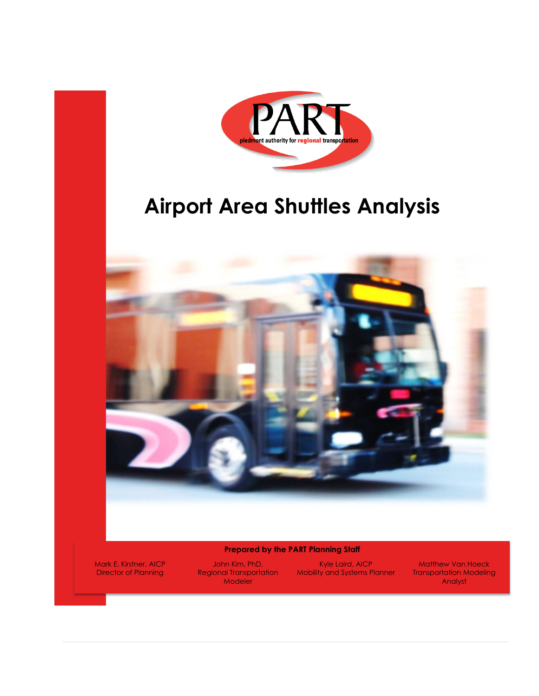

# **Airport Area Shuttles Analysis**



#### **Prepared by the PART Planning Staff**

**Director of Planning Regional Transportation** Modeler

Mark E. Kirstner, AICP John Kim, PhD. Kyle Laird, AICP Matthew Van Hoeck Mobility and Systems Planner Transportation Modeling

Analyst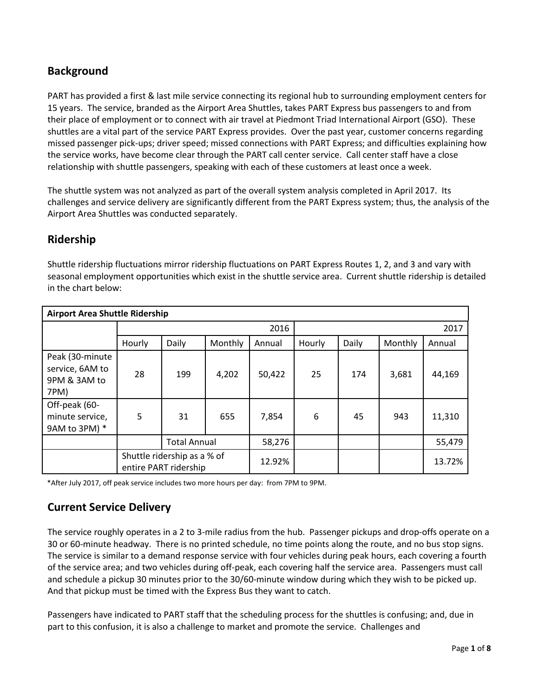# **Background**

PART has provided a first & last mile service connecting its regional hub to surrounding employment centers for 15 years. The service, branded as the Airport Area Shuttles, takes PART Express bus passengers to and from their place of employment or to connect with air travel at Piedmont Triad International Airport (GSO). These shuttles are a vital part of the service PART Express provides. Over the past year, customer concerns regarding missed passenger pick-ups; driver speed; missed connections with PART Express; and difficulties explaining how the service works, have become clear through the PART call center service. Call center staff have a close relationship with shuttle passengers, speaking with each of these customers at least once a week.

The shuttle system was not analyzed as part of the overall system analysis completed in April 2017. Its challenges and service delivery are significantly different from the PART Express system; thus, the analysis of the Airport Area Shuttles was conducted separately.

## **Ridership**

Shuttle ridership fluctuations mirror ridership fluctuations on PART Express Routes 1, 2, and 3 and vary with seasonal employment opportunities which exist in the shuttle service area. Current shuttle ridership is detailed in the chart below:

| <b>Airport Area Shuttle Ridership</b>                      |                                                      |                     |         |        |        |       |         |        |  |
|------------------------------------------------------------|------------------------------------------------------|---------------------|---------|--------|--------|-------|---------|--------|--|
|                                                            |                                                      |                     |         | 2016   | 2017   |       |         |        |  |
|                                                            | Hourly                                               | Daily               | Monthly | Annual | Hourly | Daily | Monthly | Annual |  |
| Peak (30-minute<br>service, 6AM to<br>9PM & 3AM to<br>7PM) | 28                                                   | 199                 | 4,202   | 50,422 | 25     | 174   | 3,681   | 44,169 |  |
| Off-peak (60-<br>minute service,<br>9AM to 3PM) *          | 5                                                    | 31                  | 655     | 7,854  | 6      | 45    | 943     | 11,310 |  |
|                                                            |                                                      | <b>Total Annual</b> |         | 58,276 |        |       |         | 55,479 |  |
|                                                            | Shuttle ridership as a % of<br>entire PART ridership |                     |         | 12.92% |        |       |         | 13.72% |  |

\*After July 2017, off peak service includes two more hours per day: from 7PM to 9PM.

## **Current Service Delivery**

The service roughly operates in a 2 to 3-mile radius from the hub. Passenger pickups and drop-offs operate on a 30 or 60-minute headway. There is no printed schedule, no time points along the route, and no bus stop signs. The service is similar to a demand response service with four vehicles during peak hours, each covering a fourth of the service area; and two vehicles during off-peak, each covering half the service area. Passengers must call and schedule a pickup 30 minutes prior to the 30/60-minute window during which they wish to be picked up. And that pickup must be timed with the Express Bus they want to catch.

Passengers have indicated to PART staff that the scheduling process for the shuttles is confusing; and, due in part to this confusion, it is also a challenge to market and promote the service. Challenges and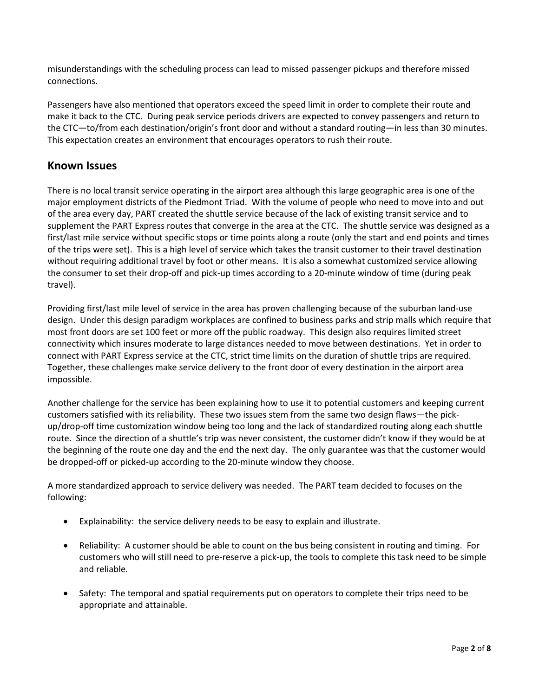misunderstandings with the scheduling process can lead to missed passenger pickups and therefore missed connections.

Passengers have also mentioned that operators exceed the speed limit in order to complete their route and make it back to the CTC. During peak service periods drivers are expected to convey passengers and return to the CTC—to/from each destination/origin's front door and without a standard routing—in less than 30 minutes. This expectation creates an environment that encourages operators to rush their route.

## **Known Issues**

There is no local transit service operating in the airport area although this large geographic area is one of the major employment districts of the Piedmont Triad. With the volume of people who need to move into and out of the area every day, PART created the shuttle service because of the lack of existing transit service and to supplement the PART Express routes that converge in the area at the CTC. The shuttle service was designed as a first/last mile service without specific stops or time points along a route (only the start and end points and times of the trips were set). This is a high level of service which takes the transit customer to their travel destination without requiring additional travel by foot or other means. It is also a somewhat customized service allowing the consumer to set their drop-off and pick-up times according to a 20-minute window of time (during peak travel).

Providing first/last mile level of service in the area has proven challenging because of the suburban land-use design. Under this design paradigm workplaces are confined to business parks and strip malls which require that most front doors are set 100 feet or more off the public roadway. This design also requires limited street connectivity which insures moderate to large distances needed to move between destinations. Yet in order to connect with PART Express service at the CTC, strict time limits on the duration of shuttle trips are required. Together, these challenges make service delivery to the front door of every destination in the airport area impossible.

Another challenge for the service has been explaining how to use it to potential customers and keeping current customers satisfied with its reliability. These two issues stem from the same two design flaws—the pickup/drop-off time customization window being too long and the lack of standardized routing along each shuttle route. Since the direction of a shuttle's trip was never consistent, the customer didn't know if they would be at the beginning of the route one day and the end the next day. The only guarantee was that the customer would be dropped-off or picked-up according to the 20-minute window they choose.

A more standardized approach to service delivery was needed. The PART team decided to focuses on the following:

- Explainability: the service delivery needs to be easy to explain and illustrate.
- Reliability: A customer should be able to count on the bus being consistent in routing and timing. For customers who will still need to pre-reserve a pick-up, the tools to complete this task need to be simple and reliable.
- Safety: The temporal and spatial requirements put on operators to complete their trips need to be appropriate and attainable.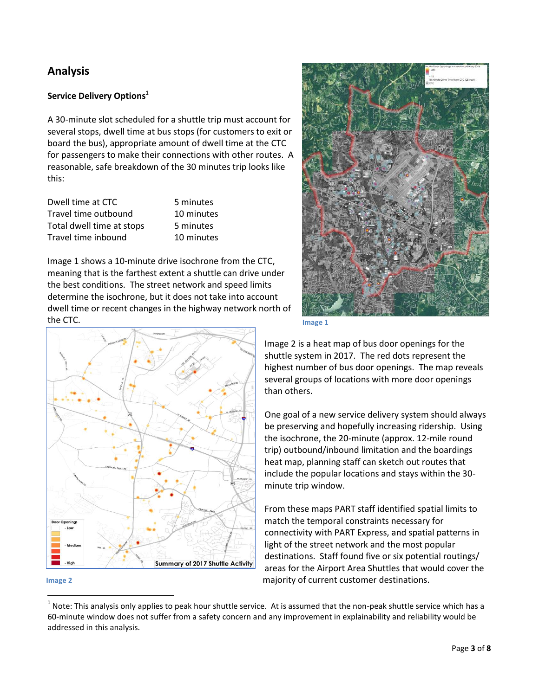## **Analysis**

## **Service Delivery Options<sup>1</sup>**

A 30-minute slot scheduled for a shuttle trip must account for several stops, dwell time at bus stops (for customers to exit or board the bus), appropriate amount of dwell time at the CTC for passengers to make their connections with other routes. A reasonable, safe breakdown of the 30 minutes trip looks like this:

| Dwell time at CTC         | .5 n |
|---------------------------|------|
| Travel time outbound      | 10.  |
| Total dwell time at stops | 5 n  |
| Travel time inbound       | 10   |

ninutes minutes ninutes minutes

Image 1 shows a 10-minute drive isochrone from the CTC, meaning that is the farthest extent a shuttle can drive under the best conditions. The street network and speed limits determine the isochrone, but it does not take into account dwell time or recent changes in the highway network north of the CTC.





 $\overline{\phantom{a}}$ 





Image 2 is a heat map of bus door openings for the shuttle system in 2017. The red dots represent the highest number of bus door openings. The map reveals several groups of locations with more door openings than others.

One goal of a new service delivery system should always be preserving and hopefully increasing ridership. Using the isochrone, the 20-minute (approx. 12-mile round trip) outbound/inbound limitation and the boardings heat map, planning staff can sketch out routes that include the popular locations and stays within the 30 minute trip window.

From these maps PART staff identified spatial limits to match the temporal constraints necessary for connectivity with PART Express, and spatial patterns in light of the street network and the most popular destinations. Staff found five or six potential routings/ areas for the Airport Area Shuttles that would cover the majority of current customer destinations.

 $^1$  Note: This analysis only applies to peak hour shuttle service. At is assumed that the non-peak shuttle service which has a 60-minute window does not suffer from a safety concern and any improvement in explainability and reliability would be addressed in this analysis.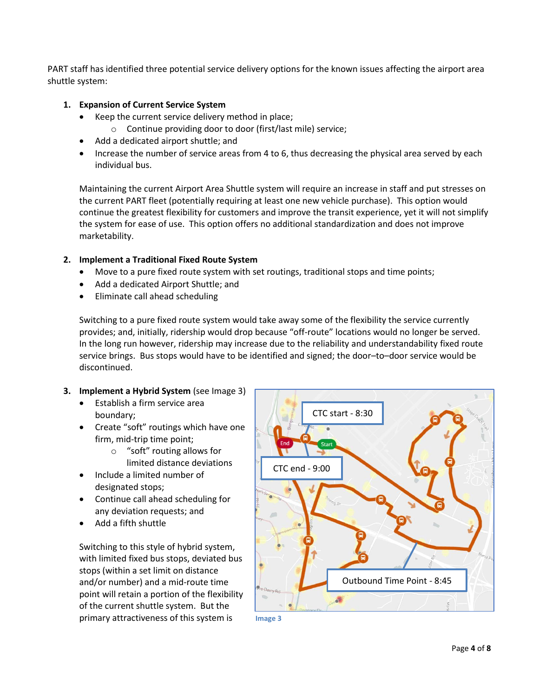PART staff has identified three potential service delivery options for the known issues affecting the airport area shuttle system:

### **1. Expansion of Current Service System**

- Keep the current service delivery method in place;
	- o Continue providing door to door (first/last mile) service;
- Add a dedicated airport shuttle; and
- Increase the number of service areas from 4 to 6, thus decreasing the physical area served by each individual bus.

Maintaining the current Airport Area Shuttle system will require an increase in staff and put stresses on the current PART fleet (potentially requiring at least one new vehicle purchase). This option would continue the greatest flexibility for customers and improve the transit experience, yet it will not simplify the system for ease of use. This option offers no additional standardization and does not improve marketability.

### **2. Implement a Traditional Fixed Route System**

- Move to a pure fixed route system with set routings, traditional stops and time points;
- Add a dedicated Airport Shuttle; and
- Eliminate call ahead scheduling

Switching to a pure fixed route system would take away some of the flexibility the service currently provides; and, initially, ridership would drop because "off-route" locations would no longer be served. In the long run however, ridership may increase due to the reliability and understandability fixed route service brings. Bus stops would have to be identified and signed; the door–to–door service would be discontinued.

### **3. Implement a Hybrid System** (see Image 3)

- Establish a firm service area boundary;
- Create "soft" routings which have one firm, mid-trip time point;
	- o "soft" routing allows for limited distance deviations
- Include a limited number of designated stops;
- Continue call ahead scheduling for any deviation requests; and
- Add a fifth shuttle

Switching to this style of hybrid system, with limited fixed bus stops, deviated bus stops (within a set limit on distance and/or number) and a mid-route time point will retain a portion of the flexibility of the current shuttle system. But the primary attractiveness of this system is



**Image 3**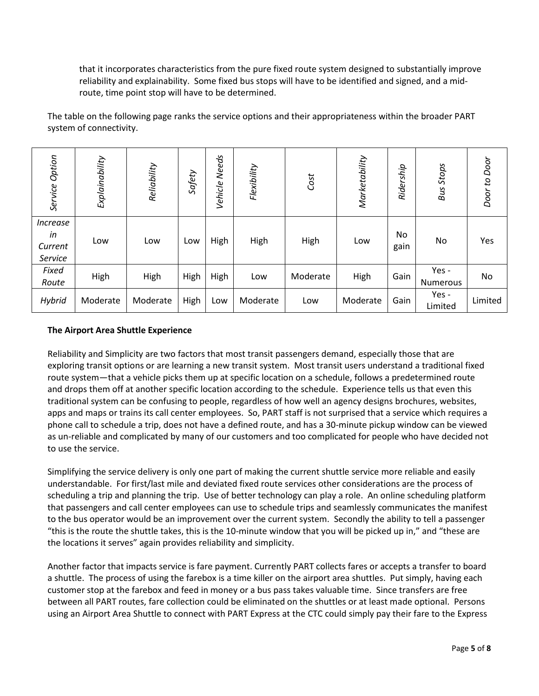that it incorporates characteristics from the pure fixed route system designed to substantially improve reliability and explainability. Some fixed bus stops will have to be identified and signed, and a midroute, time point stop will have to be determined.

The table on the following page ranks the service options and their appropriateness within the broader PART system of connectivity.

| Service Option                                                                                                                                                                                                                                                                                                                                                                                                                                                                                                                                                                                                                                                                                                                                                                                                                                                                                                                                                                                                                                                                                                                                                                                                                                                                                                                                                                                                                                                                                                                                        | Explainability | Reliability | Safety | Vehicle Needs | Flexibility | Cost     | Marketability | Ridership  | <b>Bus Stops</b>  | Door to Door |
|-------------------------------------------------------------------------------------------------------------------------------------------------------------------------------------------------------------------------------------------------------------------------------------------------------------------------------------------------------------------------------------------------------------------------------------------------------------------------------------------------------------------------------------------------------------------------------------------------------------------------------------------------------------------------------------------------------------------------------------------------------------------------------------------------------------------------------------------------------------------------------------------------------------------------------------------------------------------------------------------------------------------------------------------------------------------------------------------------------------------------------------------------------------------------------------------------------------------------------------------------------------------------------------------------------------------------------------------------------------------------------------------------------------------------------------------------------------------------------------------------------------------------------------------------------|----------------|-------------|--------|---------------|-------------|----------|---------------|------------|-------------------|--------------|
| <b>Increase</b><br>in<br>Current<br><b>Service</b>                                                                                                                                                                                                                                                                                                                                                                                                                                                                                                                                                                                                                                                                                                                                                                                                                                                                                                                                                                                                                                                                                                                                                                                                                                                                                                                                                                                                                                                                                                    | Low            | Low         | Low    | High          | High        | High     | Low           | No<br>gain | No                | Yes          |
| Fixed<br>Route                                                                                                                                                                                                                                                                                                                                                                                                                                                                                                                                                                                                                                                                                                                                                                                                                                                                                                                                                                                                                                                                                                                                                                                                                                                                                                                                                                                                                                                                                                                                        | High           | High        | High   | High          | Low         | Moderate | High          | Gain       | Yes -<br>Numerous | No           |
| Hybrid                                                                                                                                                                                                                                                                                                                                                                                                                                                                                                                                                                                                                                                                                                                                                                                                                                                                                                                                                                                                                                                                                                                                                                                                                                                                                                                                                                                                                                                                                                                                                | Moderate       | Moderate    | High   | Low           | Moderate    | Low      | Moderate      | Gain       | Yes -<br>Limited  | Limited      |
| Reliability and Simplicity are two factors that most transit passengers demand, especially those that are<br>exploring transit options or are learning a new transit system. Most transit users understand a traditional fixed<br>route system-that a vehicle picks them up at specific location on a schedule, follows a predetermined route<br>and drops them off at another specific location according to the schedule. Experience tells us that even this<br>traditional system can be confusing to people, regardless of how well an agency designs brochures, websites,<br>apps and maps or trains its call center employees. So, PART staff is not surprised that a service which requires a<br>phone call to schedule a trip, does not have a defined route, and has a 30-minute pickup window can be viewed<br>as un-reliable and complicated by many of our customers and too complicated for people who have decided not<br>to use the service.<br>Simplifying the service delivery is only one part of making the current shuttle service more reliable and easily<br>understandable. For first/last mile and deviated fixed route services other considerations are the process of<br>scheduling a trip and planning the trip. Use of better technology can play a role. An online scheduling platform<br>that passengers and call center employees can use to schedule trips and seamlessly communicates the manifest<br>to the bus operator would be an improvement over the current system. Secondly the ability to tell a passenger |                |             |        |               |             |          |               |            |                   |              |
| "this is the route the shuttle takes, this is the 10-minute window that you will be picked up in," and "these are<br>the locations it serves" again provides reliability and simplicity.                                                                                                                                                                                                                                                                                                                                                                                                                                                                                                                                                                                                                                                                                                                                                                                                                                                                                                                                                                                                                                                                                                                                                                                                                                                                                                                                                              |                |             |        |               |             |          |               |            |                   |              |
| Another factor that impacts service is fare payment. Currently PART collects fares or accepts a transfer to board<br>a shuttle. The process of using the farebox is a time killer on the airport area shuttles. Put simply, having each<br>customer stop at the farebox and feed in money or a bus pass takes valuable time. Since transfers are free<br>between all PART routes, fare collection could be eliminated on the shuttles or at least made optional. Persons<br>using an Airport Area Shuttle to connect with PART Express at the CTC could simply pay their fare to the Express                                                                                                                                                                                                                                                                                                                                                                                                                                                                                                                                                                                                                                                                                                                                                                                                                                                                                                                                                          |                |             |        |               |             |          |               |            |                   |              |

### **The Airport Area Shuttle Experience**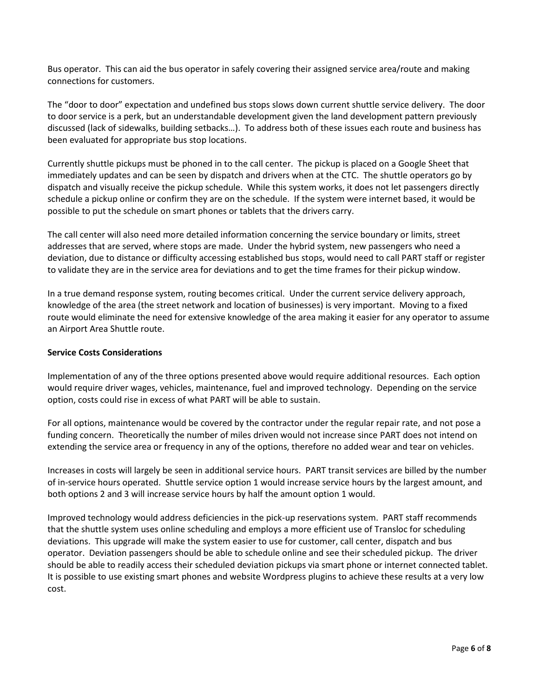Bus operator. This can aid the bus operator in safely covering their assigned service area/route and making connections for customers.

The "door to door" expectation and undefined bus stops slows down current shuttle service delivery. The door to door service is a perk, but an understandable development given the land development pattern previously discussed (lack of sidewalks, building setbacks…). To address both of these issues each route and business has been evaluated for appropriate bus stop locations.

Currently shuttle pickups must be phoned in to the call center. The pickup is placed on a Google Sheet that immediately updates and can be seen by dispatch and drivers when at the CTC. The shuttle operators go by dispatch and visually receive the pickup schedule. While this system works, it does not let passengers directly schedule a pickup online or confirm they are on the schedule. If the system were internet based, it would be possible to put the schedule on smart phones or tablets that the drivers carry.

The call center will also need more detailed information concerning the service boundary or limits, street addresses that are served, where stops are made. Under the hybrid system, new passengers who need a deviation, due to distance or difficulty accessing established bus stops, would need to call PART staff or register to validate they are in the service area for deviations and to get the time frames for their pickup window.

In a true demand response system, routing becomes critical. Under the current service delivery approach, knowledge of the area (the street network and location of businesses) is very important. Moving to a fixed route would eliminate the need for extensive knowledge of the area making it easier for any operator to assume an Airport Area Shuttle route.

#### **Service Costs Considerations**

Implementation of any of the three options presented above would require additional resources. Each option would require driver wages, vehicles, maintenance, fuel and improved technology. Depending on the service option, costs could rise in excess of what PART will be able to sustain.

For all options, maintenance would be covered by the contractor under the regular repair rate, and not pose a funding concern. Theoretically the number of miles driven would not increase since PART does not intend on extending the service area or frequency in any of the options, therefore no added wear and tear on vehicles.

Increases in costs will largely be seen in additional service hours. PART transit services are billed by the number of in-service hours operated. Shuttle service option 1 would increase service hours by the largest amount, and both options 2 and 3 will increase service hours by half the amount option 1 would.

Improved technology would address deficiencies in the pick-up reservations system. PART staff recommends that the shuttle system uses online scheduling and employs a more efficient use of Transloc for scheduling deviations. This upgrade will make the system easier to use for customer, call center, dispatch and bus operator. Deviation passengers should be able to schedule online and see their scheduled pickup. The driver should be able to readily access their scheduled deviation pickups via smart phone or internet connected tablet. It is possible to use existing smart phones and website Wordpress plugins to achieve these results at a very low cost.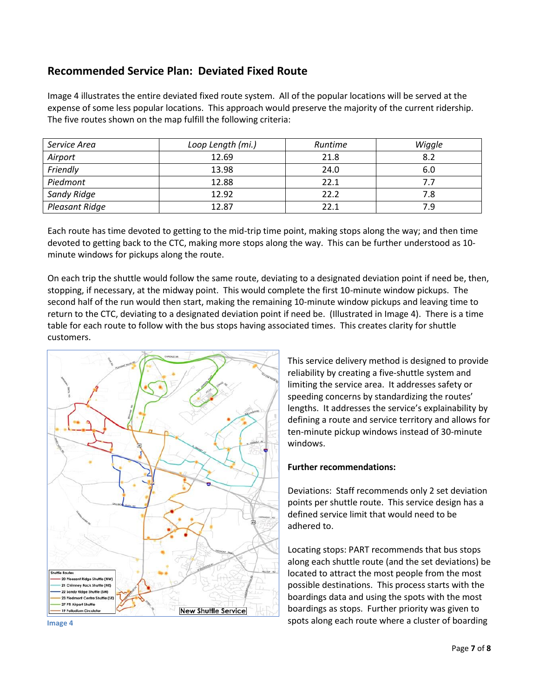## **Recommended Service Plan: Deviated Fixed Route**

Image 4 illustrates the entire deviated fixed route system. All of the popular locations will be served at the expense of some less popular locations. This approach would preserve the majority of the current ridership. The five routes shown on the map fulfill the following criteria:

| Service Area          | Loop Length (mi.) | Runtime | Wiggle |
|-----------------------|-------------------|---------|--------|
| Airport               | 12.69             | 21.8    | 8.2    |
| Friendly              | 13.98             | 24.0    | 6.0    |
| Piedmont              | 12.88             | 22.1    | 7.7    |
| Sandy Ridge           | 12.92             | 22.2    | 7.8    |
| <b>Pleasant Ridge</b> | 12.87             | 22.1    | 7.9    |

Each route has time devoted to getting to the mid-trip time point, making stops along the way; and then time devoted to getting back to the CTC, making more stops along the way. This can be further understood as 10 minute windows for pickups along the route.

On each trip the shuttle would follow the same route, deviating to a designated deviation point if need be, then, stopping, if necessary, at the midway point. This would complete the first 10-minute window pickups. The second half of the run would then start, making the remaining 10-minute window pickups and leaving time to return to the CTC, deviating to a designated deviation point if need be. (Illustrated in Image 4). There is a time table for each route to follow with the bus stops having associated times. This creates clarity for shuttle customers.



This service delivery method is designed to provide reliability by creating a five-shuttle system and limiting the service area. It addresses safety or speeding concerns by standardizing the routes' lengths. It addresses the service's explainability by defining a route and service territory and allows for ten-minute pickup windows instead of 30-minute windows.

### **Further recommendations:**

Deviations: Staff recommends only 2 set deviation points per shuttle route. This service design has a defined service limit that would need to be adhered to.

Locating stops: PART recommends that bus stops along each shuttle route (and the set deviations) be located to attract the most people from the most possible destinations. This process starts with the boardings data and using the spots with the most boardings as stops. Further priority was given to spots along each route where a cluster of boarding